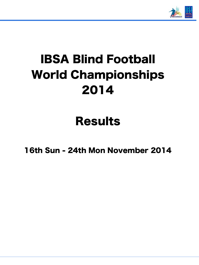

# IBSA Blind Football World Championships 2014

## Results

16th Sun - 24th Mon November 2014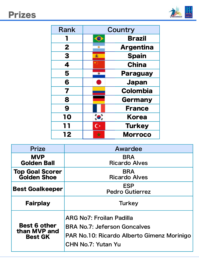

| <b>Rank</b>      |    | Country          |
|------------------|----|------------------|
|                  |    | <b>Brazil</b>    |
| $\boldsymbol{2}$ |    | <b>Argentina</b> |
| 3                | Æ. | <b>Spain</b>     |
| 4                |    | <b>China</b>     |
| 5                |    | <b>Paraguay</b>  |
| 6                |    | <b>Japan</b>     |
| 7                |    | <b>Colombia</b>  |
| 8                |    | <b>Germany</b>   |
| 9                |    | <b>France</b>    |
| 10               |    | <b>Korea</b>     |
| 11               |    | <b>Turkey</b>    |
| 12               |    | <b>Morroco</b>   |

| <b>Prize</b>                                          | Awardee                                                                                                                                           |  |  |  |  |  |
|-------------------------------------------------------|---------------------------------------------------------------------------------------------------------------------------------------------------|--|--|--|--|--|
| <b>MVP</b><br><b>Golden Ball</b>                      | <b>BRA</b><br><b>Ricardo Alves</b>                                                                                                                |  |  |  |  |  |
| <b>Top Goal Scorer</b><br><b>Golden Shoe</b>          | <b>BRA</b><br><b>Ricardo Alves</b>                                                                                                                |  |  |  |  |  |
| <b>Best Goalkeeper</b>                                | <b>ESP</b><br><b>Pedro Gutierrez</b>                                                                                                              |  |  |  |  |  |
| <b>Fairplay</b>                                       | <b>Turkey</b>                                                                                                                                     |  |  |  |  |  |
| <b>Best 6 other</b><br>than MVP and<br><b>Best GK</b> | <b>ARG No7: Froilan Padilla</b><br><b>BRA No.7: Jeferson Goncalves</b><br>PAR No.10: Ricardo Alberto Gimenz Morinigo<br><b>CHN No.7: Yutan Yu</b> |  |  |  |  |  |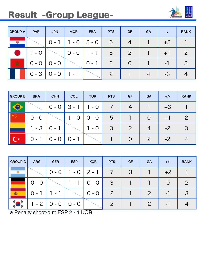#### Result -Group League-



| GROUP A | <b>PAR</b> | <b>JPN</b> | <b>MOR</b> | <b>FRA</b>               | <b>PTS</b>     | <b>GF</b>      | <b>GA</b> | $+/-$                    | <b>RANK</b> |
|---------|------------|------------|------------|--------------------------|----------------|----------------|-----------|--------------------------|-------------|
|         |            | $0 -$      | $-$ O      | $ 3 - 0 $                | 6              | $\overline{4}$ |           | $+3$                     |             |
|         | $-$ O      |            | $0 - 0$    | $\overline{\phantom{0}}$ | 5              | $\mathcal{P}$  |           | $+$                      |             |
| X       | $0 - 0$    | $0 - 0$    |            | $\Omega$ -               | $\overline{2}$ | $\bigcirc$     |           | $\overline{\phantom{0}}$ | -3          |
|         | $0 - 3$    | $0 - 0$    |            |                          | $\mathcal{P}$  |                |           | -3                       |             |

| <b>GROUP B</b> | <b>BRA</b> | <b>CHN</b> | <b>COL</b>      | <b>TUR</b>                                       | <b>PTS</b> | <b>GF</b>      | <b>GA</b> | $+/-$ | <b>RANK</b> |
|----------------|------------|------------|-----------------|--------------------------------------------------|------------|----------------|-----------|-------|-------------|
|                |            | $0 - 0$    | $ 3 - 1  1 - 0$ |                                                  |            |                |           | $+3$  |             |
|                | $0 - 0$    |            | $1 - 0$         | $\begin{pmatrix} 0 & -0 \\ 0 & -0 \end{pmatrix}$ | 5          |                |           | $+$   |             |
|                | $1 - 3$    | $O -$      |                 | $1 - 0$                                          | 3          | $\overline{2}$ |           | $-2$  | -3          |
|                | $() -$     | $0 - 0$    | $10 - 1$        |                                                  |            |                |           |       |             |

| <b>GROUP C</b>  | <b>ARG</b>         | <b>GER</b> | <b>ESP</b> | <b>KOR</b>      | <b>PTS</b>    | <b>GF</b> | <b>GA</b>    | $+/-$                    | <b>RANK</b> |
|-----------------|--------------------|------------|------------|-----------------|---------------|-----------|--------------|--------------------------|-------------|
|                 |                    | $0 - 0$    | $1 - 0$    | $ 2 - 1 $       |               | 3         |              | $+2$                     |             |
|                 | $0 - 0$            |            |            | $0 - 0$         | 3             |           |              |                          |             |
|                 | $\left( \ \right)$ |            |            | $0 -$<br>$\cup$ | $\mathcal{P}$ |           | $\mathcal P$ | $\overline{\phantom{0}}$ | -3          |
| ' lij<br>$\phi$ | $\mathcal{P}$      | $0 - 0$    | $0 - 0$    |                 | $\mathcal{Q}$ |           |              | $\overline{\phantom{0}}$ |             |

※ Penalty shoot-out: ESP 2 - 1 KOR.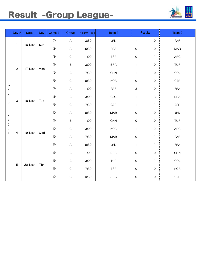### Result -Group League-



|                             | Day $# $       | <b>Date</b> | Day           | Game #         | Group          | <b>Kickoff Time</b> | Team 1     | <b>Results</b>     |                          |                | Team 2     |
|-----------------------------|----------------|-------------|---------------|----------------|----------------|---------------------|------------|--------------------|--------------------------|----------------|------------|
|                             |                |             |               | $\circled{1}$  | $\mathsf{A}$   | 13:30               | <b>JPN</b> | 1                  |                          | $\overline{0}$ | PAR        |
|                             | $\mathbf{1}$   | 16-Nov      | Sun           | $\circledS$    | $\mathsf{A}$   | 15:30               | <b>FRA</b> | $\mathsf{O}$       |                          | $\overline{0}$ | <b>MAR</b> |
|                             |                |             |               | $\circled{3}$  | $\mathsf{C}$   | 11:00               | <b>ESP</b> | $\overline{0}$     |                          | $\mathbf{1}$   | ARG        |
|                             |                |             |               | $\circled{4}$  | $\sf B$        | 13:00               | <b>BRA</b> | 1                  |                          | $\overline{0}$ | <b>TUR</b> |
|                             | $\mathbf{2}$   | 17-Nov      | Mon           | $\circledS$    | $\sf B$        | 17:30               | <b>CHN</b> | $\mathbf{1}$       |                          | $\overline{0}$ | COL        |
|                             |                |             |               | $\circledast$  | $\mathsf C$    | 19:30               | <b>KOR</b> | $\mathsf{O}$       |                          | $\overline{0}$ | <b>GER</b> |
| G<br>r                      |                | 18-Nov      |               | $\circledcirc$ | $\mathsf{A}$   | 11:00               | PAR        | 3                  |                          | $\overline{0}$ | <b>FRA</b> |
| $\mathsf O$<br>$\mathsf{u}$ | $\mathsf{3}$   |             | <b>Tue</b>    | $\circledS$    | $\sf B$        | 13:00               | COL        | $\mathbf{1}$       |                          | $\mathbf{3}$   | <b>BRA</b> |
| p                           |                |             |               | $\circledS$    | $\mathsf C$    | 17:30               | <b>GER</b> | 1                  |                          | $\mathbf{1}$   | <b>ESP</b> |
| L<br>e                      |                |             |               | $\circledR$    | $\overline{A}$ | 19:30               | <b>MAR</b> | $\mathsf{O}$       | $\overline{\phantom{0}}$ | $\overline{0}$ | <b>JPN</b> |
| a<br>g                      |                |             |               | $\circled{1}$  | $\sf B$        | 11:00               | <b>CHN</b> | $\mathsf{O}$       |                          | $\overline{0}$ | <b>TUR</b> |
| u                           | 4              |             | 19-Nov<br>Wed | $\circled{2}$  | $\mathsf C$    | 13:00               | <b>KOR</b> | $\mathbf{1}$       |                          | $\overline{2}$ | ARG        |
| $\mathbf e$                 |                |             |               | $\circled{3}$  | $\overline{A}$ | 17:30               | <b>MAR</b> | $\overline{0}$     |                          | $\overline{1}$ | PAR        |
|                             |                |             |               | $\circled{4}$  | $\mathsf A$    | 19:30               | <b>JPN</b> | $\mathbf{L}$<br>J. |                          | $\mathbf{1}$   | <b>FRA</b> |
|                             |                |             |               | $\circled{5}$  | $\sf B$        | 11:00               | <b>BRA</b> | $\mathsf O$        |                          | $\overline{0}$ | <b>CHN</b> |
|                             | $\overline{5}$ | 20-Nov      |               | $\circledR$    | $\sf B$        | 13:00               | <b>TUR</b> | $\mathsf O$        |                          | $\mathbf{1}$   | COL        |
|                             |                |             | Thr           | $^{\circledR}$ | $\mathsf C$    | 17:30               | <b>ESP</b> | $\mathsf O$        |                          | $\mathbf 0$    | <b>KOR</b> |
|                             |                |             |               | $\circledR$    | $\mathsf C$    | 19:30               | ARG        | $\overline{0}$     |                          | $\overline{0}$ | <b>GER</b> |